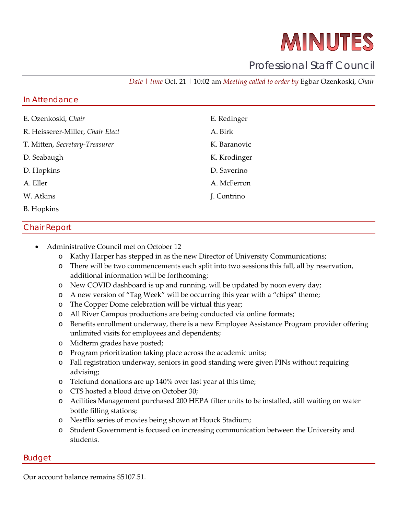# MINUTES

## Professional Staff Council

*Date | time* Oct. 21 | 10:02 am *Meeting called to order by* Egbar Ozenkoski, *Chair*

#### In Attendance

| E. Ozenkoski, Chair              | E. Redinger  |
|----------------------------------|--------------|
| R. Heisserer-Miller, Chair Elect | A. Birk      |
| T. Mitten, Secretary-Treasurer   | K. Baranovic |
| D. Seabaugh                      | K. Krodinger |
| D. Hopkins                       | D. Saverino  |
| A. Eller                         | A. McFerron  |
| W. Atkins                        | J. Contrino  |
| <b>B.</b> Hopkins                |              |

#### Chair Report

- Administrative Council met on October 12
	- o Kathy Harper has stepped in as the new Director of University Communications;
	- o There will be two commencements each split into two sessions this fall, all by reservation, additional information will be forthcoming;
	- o New COVID dashboard is up and running, will be updated by noon every day;
	- o A new version of "Tag Week" will be occurring this year with a "chips" theme;
	- o The Copper Dome celebration will be virtual this year;
	- o All River Campus productions are being conducted via online formats;
	- o Benefits enrollment underway, there is a new Employee Assistance Program provider offering unlimited visits for employees and dependents;
	- o Midterm grades have posted;
	- o Program prioritization taking place across the academic units;
	- o Fall registration underway, seniors in good standing were given PINs without requiring advising;
	- o Telefund donations are up 140% over last year at this time;
	- o CTS hosted a blood drive on October 30;
	- o Acilities Management purchased 200 HEPA filter units to be installed, still waiting on water bottle filling stations;
	- o Nestflix series of movies being shown at Houck Stadium;
	- o Student Government is focused on increasing communication between the University and students.

#### Budget

Our account balance remains \$5107.51.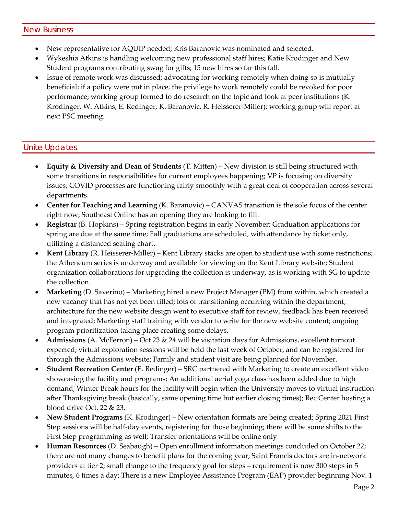- New representative for AQUIP needed; Kris Baranovic was nominated and selected.
- Wykeshia Atkins is handling welcoming new professional staff hires; Katie Krodinger and New Student programs contributing swag for gifts; 15 new hires so far this fall.
- Issue of remote work was discussed; advocating for working remotely when doing so is mutually beneficial; if a policy were put in place, the privilege to work remotely could be revoked for poor performance; working group formed to do research on the topic and look at peer institutions (K. Krodinger, W. Atkins, E. Redinger, K. Baranovic, R. Heisserer-Miller); working group will report at next PSC meeting.

### Unite Updates

- **Equity & Diversity and Dean of Students** (T. Mitten) New division is still being structured with some transitions in responsibilities for current employees happening; VP is focusing on diversity issues; COVID processes are functioning fairly smoothly with a great deal of cooperation across several departments.
- **Center for Teaching and Learning** (K. Baranovic) CANVAS transition is the sole focus of the center right now; Southeast Online has an opening they are looking to fill.
- **Registrar** (B. Hopkins) Spring registration begins in early November; Graduation applications for spring are due at the same time; Fall graduations are scheduled, with attendance by ticket only, utilizing a distanced seating chart.
- **Kent Library** (R. Heisserer-Miller) Kent Library stacks are open to student use with some restrictions; the Atheneum series is underway and available for viewing on the Kent Library website; Student organization collaborations for upgrading the collection is underway, as is working with SG to update the collection.
- **Marketing** (D. Saverino) Marketing hired a new Project Manager (PM) from within, which created a new vacancy that has not yet been filled; lots of transitioning occurring within the department; architecture for the new website design went to executive staff for review, feedback has been received and integrated; Marketing staff training with vendor to write for the new website content; ongoing program prioritization taking place creating some delays.
- **Admissions** (A. McFerron) Oct 23 & 24 will be visitation days for Admissions, excellent turnout expected; virtual exploration sessions will be held the last week of October, and can be registered for through the Admissions website; Family and student visit are being planned for November.
- **Student Recreation Center** (E. Redinger) SRC partnered with Marketing to create an excellent video showcasing the facility and programs; An additional aerial yoga class has been added due to high demand; Winter Break hours for the facility will begin when the University moves to virtual instruction after Thanksgiving break (basically, same opening time but earlier closing times); Rec Center hosting a blood drive Oct. 22 & 23.
- **New Student Programs** (K. Krodinger) New orientation formats are being created; Spring 2021 First Step sessions will be half-day events, registering for those beginning; there will be some shifts to the First Step programming as well; Transfer orientations will be online only
- **Human Resources** (D. Seabaugh) Open enrollment information meetings concluded on October 22; there are not many changes to benefit plans for the coming year; Saint Francis doctors are in-network providers at tier 2; small change to the frequency goal for steps – requirement is now 300 steps in 5 minutes, 6 times a day; There is a new Employee Assistance Program (EAP) provider beginning Nov. 1